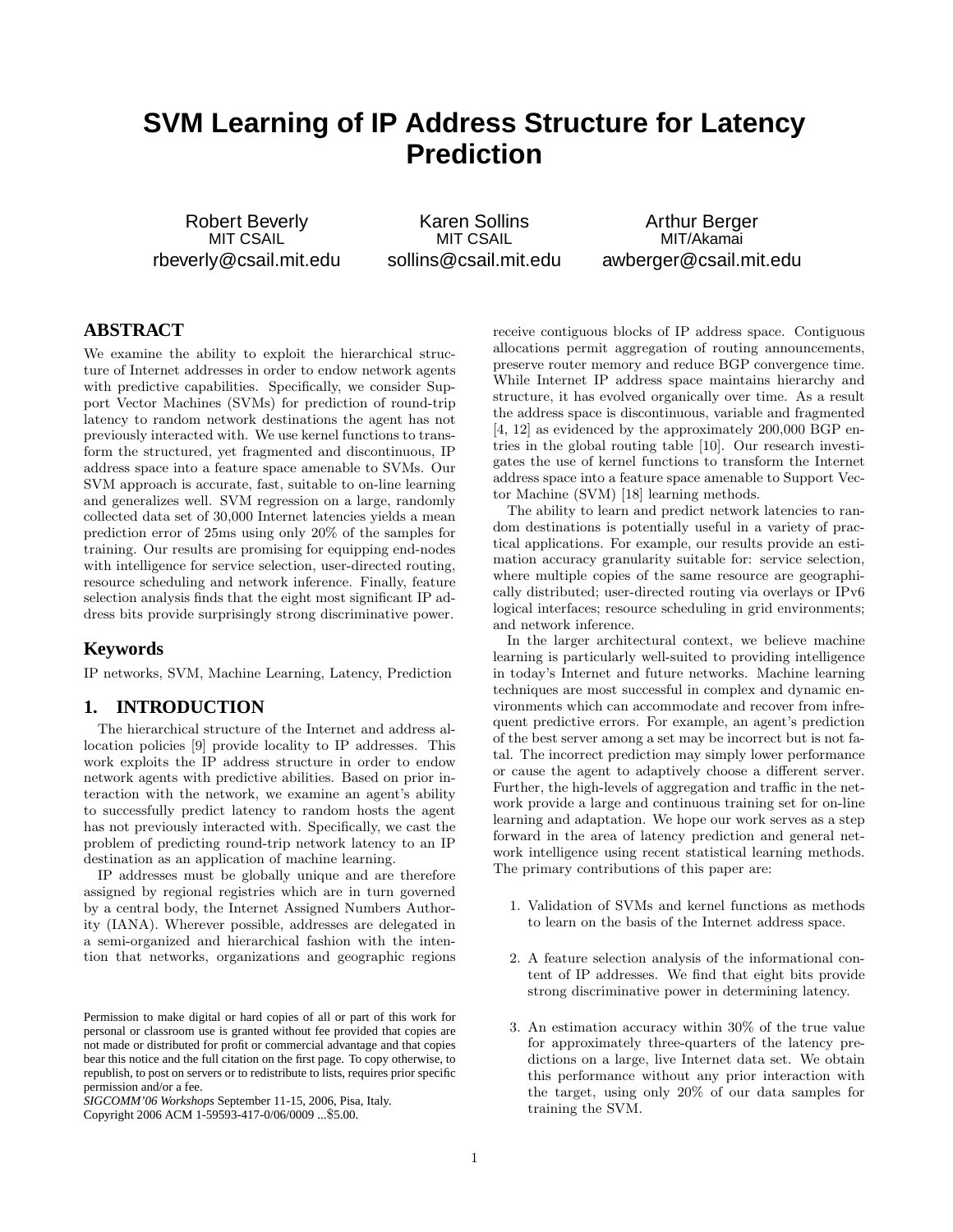# **SVM Learning of IP Address Structure for Latency Prediction**

Robert Beverly **MIT CSAIL** rbeverly@csail.mit.edu

Karen Sollins **MIT CSAIL** sollins@csail.mit.edu

Arthur Berger MIT/Akamai awberger@csail.mit.edu

# **ABSTRACT**

We examine the ability to exploit the hierarchical structure of Internet addresses in order to endow network agents with predictive capabilities. Specifically, we consider Support Vector Machines (SVMs) for prediction of round-trip latency to random network destinations the agent has not previously interacted with. We use kernel functions to transform the structured, yet fragmented and discontinuous, IP address space into a feature space amenable to SVMs. Our SVM approach is accurate, fast, suitable to on-line learning and generalizes well. SVM regression on a large, randomly collected data set of 30,000 Internet latencies yields a mean prediction error of 25ms using only 20% of the samples for training. Our results are promising for equipping end-nodes with intelligence for service selection, user-directed routing, resource scheduling and network inference. Finally, feature selection analysis finds that the eight most significant IP address bits provide surprisingly strong discriminative power.

## **Keywords**

IP networks, SVM, Machine Learning, Latency, Prediction

## **1. INTRODUCTION**

The hierarchical structure of the Internet and address allocation policies [9] provide locality to IP addresses. This work exploits the IP address structure in order to endow network agents with predictive abilities. Based on prior interaction with the network, we examine an agent's ability to successfully predict latency to random hosts the agent has not previously interacted with. Specifically, we cast the problem of predicting round-trip network latency to an IP destination as an application of machine learning.

IP addresses must be globally unique and are therefore assigned by regional registries which are in turn governed by a central body, the Internet Assigned Numbers Authority (IANA). Wherever possible, addresses are delegated in a semi-organized and hierarchical fashion with the intention that networks, organizations and geographic regions

*SIGCOMM'06 Workshops* September 11-15, 2006, Pisa, Italy.

Copyright 2006 ACM 1-59593-417-0/06/0009 ...\$5.00.

receive contiguous blocks of IP address space. Contiguous allocations permit aggregation of routing announcements, preserve router memory and reduce BGP convergence time. While Internet IP address space maintains hierarchy and structure, it has evolved organically over time. As a result the address space is discontinuous, variable and fragmented [4, 12] as evidenced by the approximately 200,000 BGP entries in the global routing table [10]. Our research investigates the use of kernel functions to transform the Internet address space into a feature space amenable to Support Vector Machine (SVM) [18] learning methods.

The ability to learn and predict network latencies to random destinations is potentially useful in a variety of practical applications. For example, our results provide an estimation accuracy granularity suitable for: service selection, where multiple copies of the same resource are geographically distributed; user-directed routing via overlays or IPv6 logical interfaces; resource scheduling in grid environments; and network inference.

In the larger architectural context, we believe machine learning is particularly well-suited to providing intelligence in today's Internet and future networks. Machine learning techniques are most successful in complex and dynamic environments which can accommodate and recover from infrequent predictive errors. For example, an agent's prediction of the best server among a set may be incorrect but is not fatal. The incorrect prediction may simply lower performance or cause the agent to adaptively choose a different server. Further, the high-levels of aggregation and traffic in the network provide a large and continuous training set for on-line learning and adaptation. We hope our work serves as a step forward in the area of latency prediction and general network intelligence using recent statistical learning methods. The primary contributions of this paper are:

- 1. Validation of SVMs and kernel functions as methods to learn on the basis of the Internet address space.
- 2. A feature selection analysis of the informational content of IP addresses. We find that eight bits provide strong discriminative power in determining latency.
- 3. An estimation accuracy within 30% of the true value for approximately three-quarters of the latency predictions on a large, live Internet data set. We obtain this performance without any prior interaction with the target, using only 20% of our data samples for training the SVM.

Permission to make digital or hard copies of all or part of this work for personal or classroom use is granted without fee provided that copies are not made or distributed for profit or commercial advantage and that copies bear this notice and the full citation on the first page. To copy otherwise, to republish, to post on servers or to redistribute to lists, requires prior specific permission and/or a fee.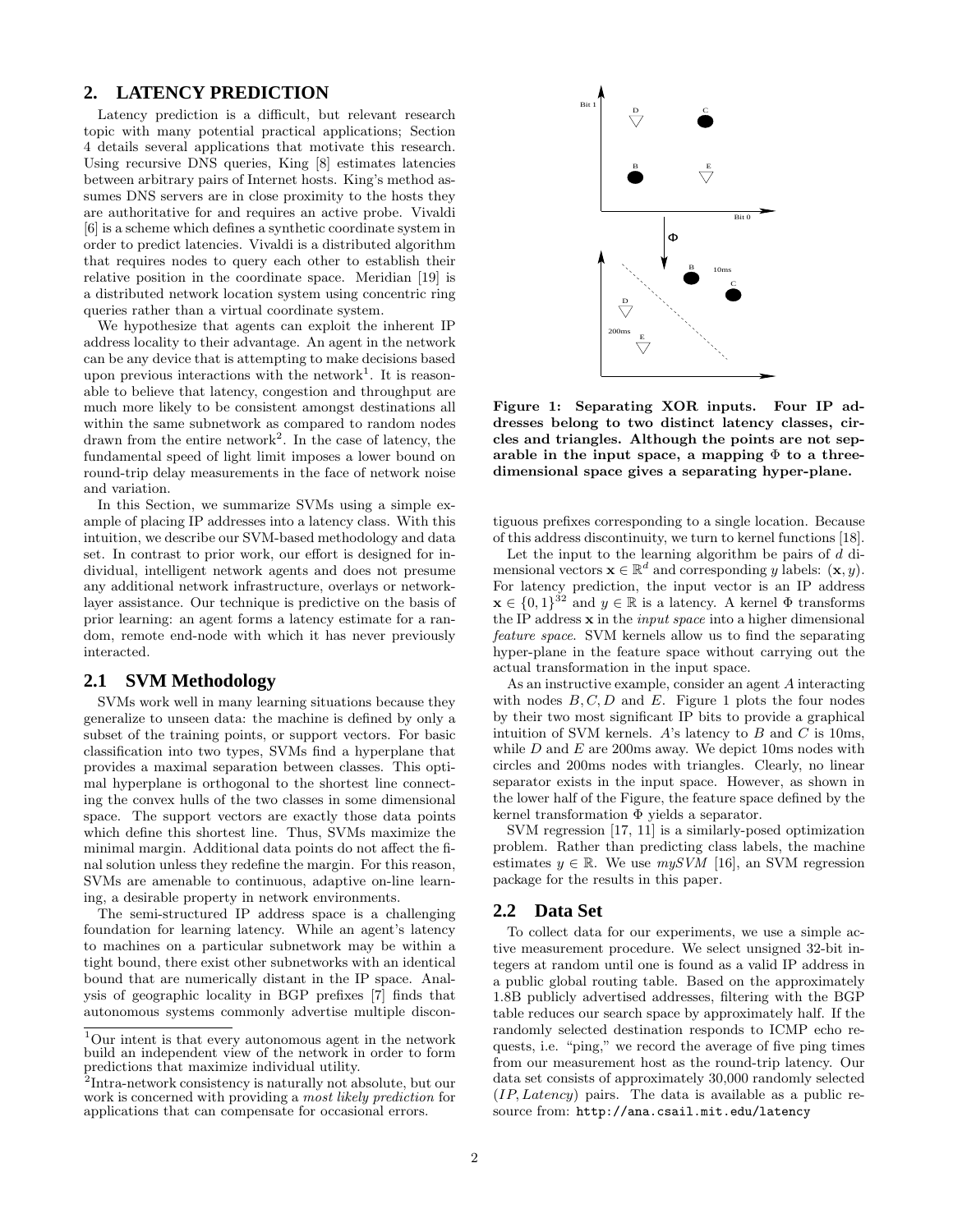# **2. LATENCY PREDICTION**

Latency prediction is a difficult, but relevant research topic with many potential practical applications; Section 4 details several applications that motivate this research. Using recursive DNS queries, King [8] estimates latencies between arbitrary pairs of Internet hosts. King's method assumes DNS servers are in close proximity to the hosts they are authoritative for and requires an active probe. Vivaldi [6] is a scheme which defines a synthetic coordinate system in order to predict latencies. Vivaldi is a distributed algorithm that requires nodes to query each other to establish their relative position in the coordinate space. Meridian [19] is a distributed network location system using concentric ring queries rather than a virtual coordinate system.

We hypothesize that agents can exploit the inherent IP address locality to their advantage. An agent in the network can be any device that is attempting to make decisions based upon previous interactions with the network<sup>1</sup>. It is reasonable to believe that latency, congestion and throughput are much more likely to be consistent amongst destinations all within the same subnetwork as compared to random nodes drawn from the entire network<sup>2</sup>. In the case of latency, the fundamental speed of light limit imposes a lower bound on round-trip delay measurements in the face of network noise and variation.

In this Section, we summarize SVMs using a simple example of placing IP addresses into a latency class. With this intuition, we describe our SVM-based methodology and data set. In contrast to prior work, our effort is designed for individual, intelligent network agents and does not presume any additional network infrastructure, overlays or networklayer assistance. Our technique is predictive on the basis of prior learning: an agent forms a latency estimate for a random, remote end-node with which it has never previously interacted.

#### **2.1 SVM Methodology**

SVMs work well in many learning situations because they generalize to unseen data: the machine is defined by only a subset of the training points, or support vectors. For basic classification into two types, SVMs find a hyperplane that provides a maximal separation between classes. This optimal hyperplane is orthogonal to the shortest line connecting the convex hulls of the two classes in some dimensional space. The support vectors are exactly those data points which define this shortest line. Thus, SVMs maximize the minimal margin. Additional data points do not affect the final solution unless they redefine the margin. For this reason, SVMs are amenable to continuous, adaptive on-line learning, a desirable property in network environments.

The semi-structured IP address space is a challenging foundation for learning latency. While an agent's latency to machines on a particular subnetwork may be within a tight bound, there exist other subnetworks with an identical bound that are numerically distant in the IP space. Analysis of geographic locality in BGP prefixes [7] finds that autonomous systems commonly advertise multiple discon-



Figure 1: Separating XOR inputs. Four IP addresses belong to two distinct latency classes, circles and triangles. Although the points are not separable in the input space, a mapping  $\Phi$  to a threedimensional space gives a separating hyper-plane.

tiguous prefixes corresponding to a single location. Because of this address discontinuity, we turn to kernel functions [18].

Let the input to the learning algorithm be pairs of  $d$  dimensional vectors  $\mathbf{x} \in \mathbb{R}^d$  and corresponding y labels:  $(\mathbf{x}, y)$ . For latency prediction, the input vector is an IP address  $\mathbf{x} \in \{0,1\}^{32}$  and  $y \in \mathbb{R}$  is a latency. A kernel  $\Phi$  transforms the IP address x in the *input space* into a higher dimensional feature space. SVM kernels allow us to find the separating hyper-plane in the feature space without carrying out the actual transformation in the input space.

As an instructive example, consider an agent A interacting with nodes  $B, C, D$  and  $E$ . Figure 1 plots the four nodes by their two most significant IP bits to provide a graphical intuition of SVM kernels.  $A$ 's latency to  $B$  and  $C$  is 10ms, while  $D$  and  $E$  are 200ms away. We depict 10ms nodes with circles and 200ms nodes with triangles. Clearly, no linear separator exists in the input space. However, as shown in the lower half of the Figure, the feature space defined by the kernel transformation Φ yields a separator.

SVM regression [17, 11] is a similarly-posed optimization problem. Rather than predicting class labels, the machine estimates  $y \in \mathbb{R}$ . We use  $mySVM$  [16], an SVM regression package for the results in this paper.

#### **2.2 Data Set**

To collect data for our experiments, we use a simple active measurement procedure. We select unsigned 32-bit integers at random until one is found as a valid IP address in a public global routing table. Based on the approximately 1.8B publicly advertised addresses, filtering with the BGP table reduces our search space by approximately half. If the randomly selected destination responds to ICMP echo requests, i.e. "ping," we record the average of five ping times from our measurement host as the round-trip latency. Our data set consists of approximately 30,000 randomly selected  $(IP, Latency)$  pairs. The data is available as a public resource from: http://ana.csail.mit.edu/latency

<sup>1</sup>Our intent is that every autonomous agent in the network build an independent view of the network in order to form predictions that maximize individual utility. 2 Intra-network consistency is naturally not absolute, but our

work is concerned with providing a *most likely prediction* for applications that can compensate for occasional errors.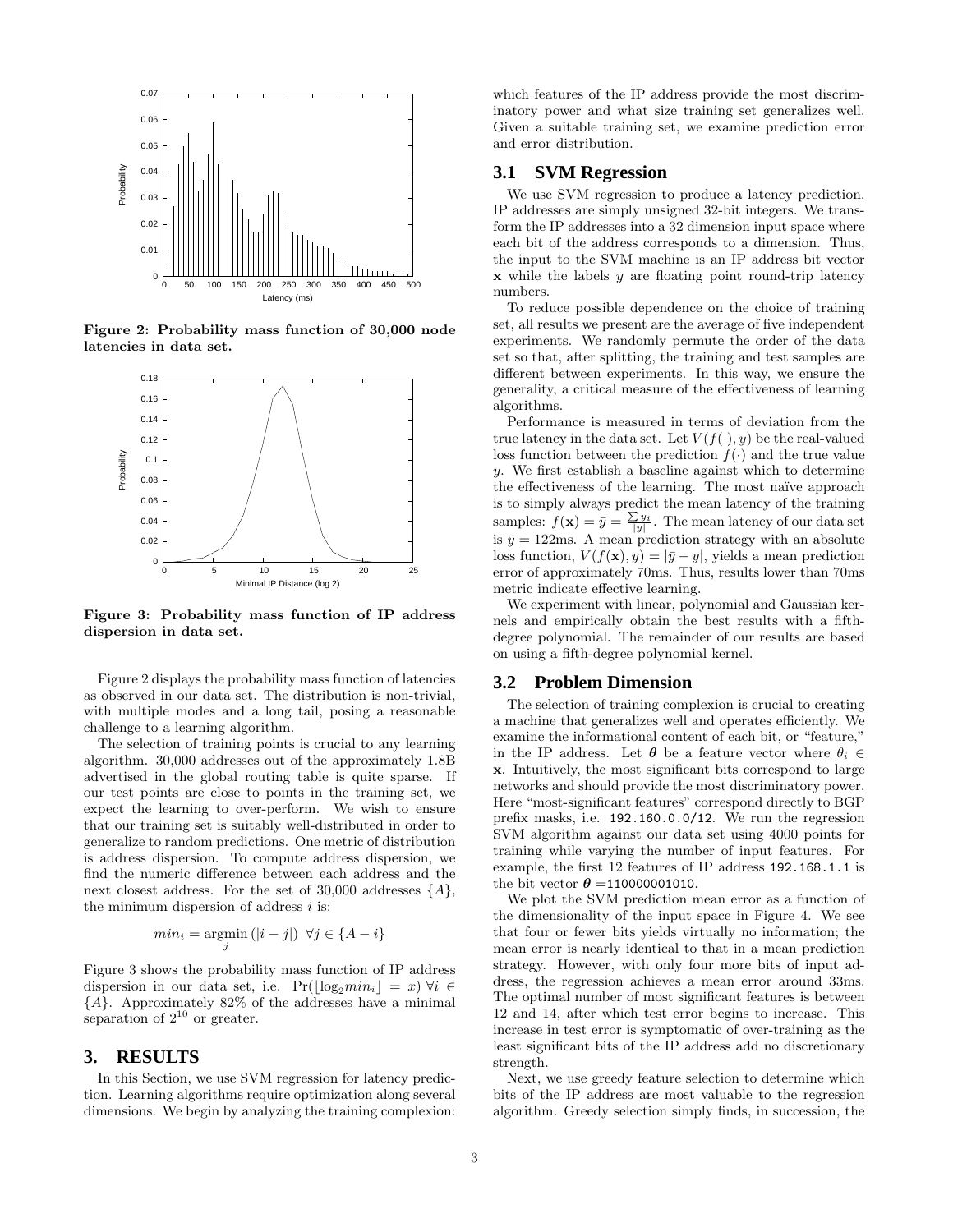

Figure 2: Probability mass function of 30,000 node latencies in data set.



Figure 3: Probability mass function of IP address dispersion in data set.

Figure 2 displays the probability mass function of latencies as observed in our data set. The distribution is non-trivial, with multiple modes and a long tail, posing a reasonable challenge to a learning algorithm.

The selection of training points is crucial to any learning algorithm. 30,000 addresses out of the approximately 1.8B advertised in the global routing table is quite sparse. If our test points are close to points in the training set, we expect the learning to over-perform. We wish to ensure that our training set is suitably well-distributed in order to generalize to random predictions. One metric of distribution is address dispersion. To compute address dispersion, we find the numeric difference between each address and the next closest address. For the set of 30,000 addresses  $\{A\}$ , the minimum dispersion of address  $i$  is:

$$
min_i = \underset{j}{\text{argmin}} \left( |i - j| \right) \,\,\forall j \in \{A - i\}
$$

Figure 3 shows the probability mass function of IP address dispersion in our data set, i.e.  $Pr(|\log_2min_i| = x)$   $\forall i \in$  ${A}$ . Approximately 82% of the addresses have a minimal separation of  $2^{10}$  or greater.

## **3. RESULTS**

In this Section, we use SVM regression for latency prediction. Learning algorithms require optimization along several dimensions. We begin by analyzing the training complexion: which features of the IP address provide the most discriminatory power and what size training set generalizes well. Given a suitable training set, we examine prediction error and error distribution.

#### **3.1 SVM Regression**

We use SVM regression to produce a latency prediction. IP addresses are simply unsigned 32-bit integers. We transform the IP addresses into a 32 dimension input space where each bit of the address corresponds to a dimension. Thus, the input to the SVM machine is an IP address bit vector  $x$  while the labels  $y$  are floating point round-trip latency numbers.

To reduce possible dependence on the choice of training set, all results we present are the average of five independent experiments. We randomly permute the order of the data set so that, after splitting, the training and test samples are different between experiments. In this way, we ensure the generality, a critical measure of the effectiveness of learning algorithms.

Performance is measured in terms of deviation from the true latency in the data set. Let  $V(f(\cdot), y)$  be the real-valued loss function between the prediction  $f(\cdot)$  and the true value y. We first establish a baseline against which to determine the effectiveness of the learning. The most naïve approach is to simply always predict the mean latency of the training samples:  $f(\mathbf{x}) = \bar{y} = \frac{\sum y_i}{|y|}$ . The mean latency of our data set is  $\bar{y} = 122 \text{ms}$ . A mean prediction strategy with an absolute loss function,  $V(f(\mathbf{x}), y) = |\bar{y} - y|$ , yields a mean prediction error of approximately 70ms. Thus, results lower than 70ms metric indicate effective learning.

We experiment with linear, polynomial and Gaussian kernels and empirically obtain the best results with a fifthdegree polynomial. The remainder of our results are based on using a fifth-degree polynomial kernel.

#### **3.2 Problem Dimension**

The selection of training complexion is crucial to creating a machine that generalizes well and operates efficiently. We examine the informational content of each bit, or "feature," in the IP address. Let  $\theta$  be a feature vector where  $\theta_i \in$ x. Intuitively, the most significant bits correspond to large networks and should provide the most discriminatory power. Here "most-significant features" correspond directly to BGP prefix masks, i.e. 192.160.0.0/12. We run the regression SVM algorithm against our data set using 4000 points for training while varying the number of input features. For example, the first 12 features of IP address 192.168.1.1 is the bit vector  $\theta$  =110000001010.

We plot the SVM prediction mean error as a function of the dimensionality of the input space in Figure 4. We see that four or fewer bits yields virtually no information; the mean error is nearly identical to that in a mean prediction strategy. However, with only four more bits of input address, the regression achieves a mean error around 33ms. The optimal number of most significant features is between 12 and 14, after which test error begins to increase. This increase in test error is symptomatic of over-training as the least significant bits of the IP address add no discretionary strength.

Next, we use greedy feature selection to determine which bits of the IP address are most valuable to the regression algorithm. Greedy selection simply finds, in succession, the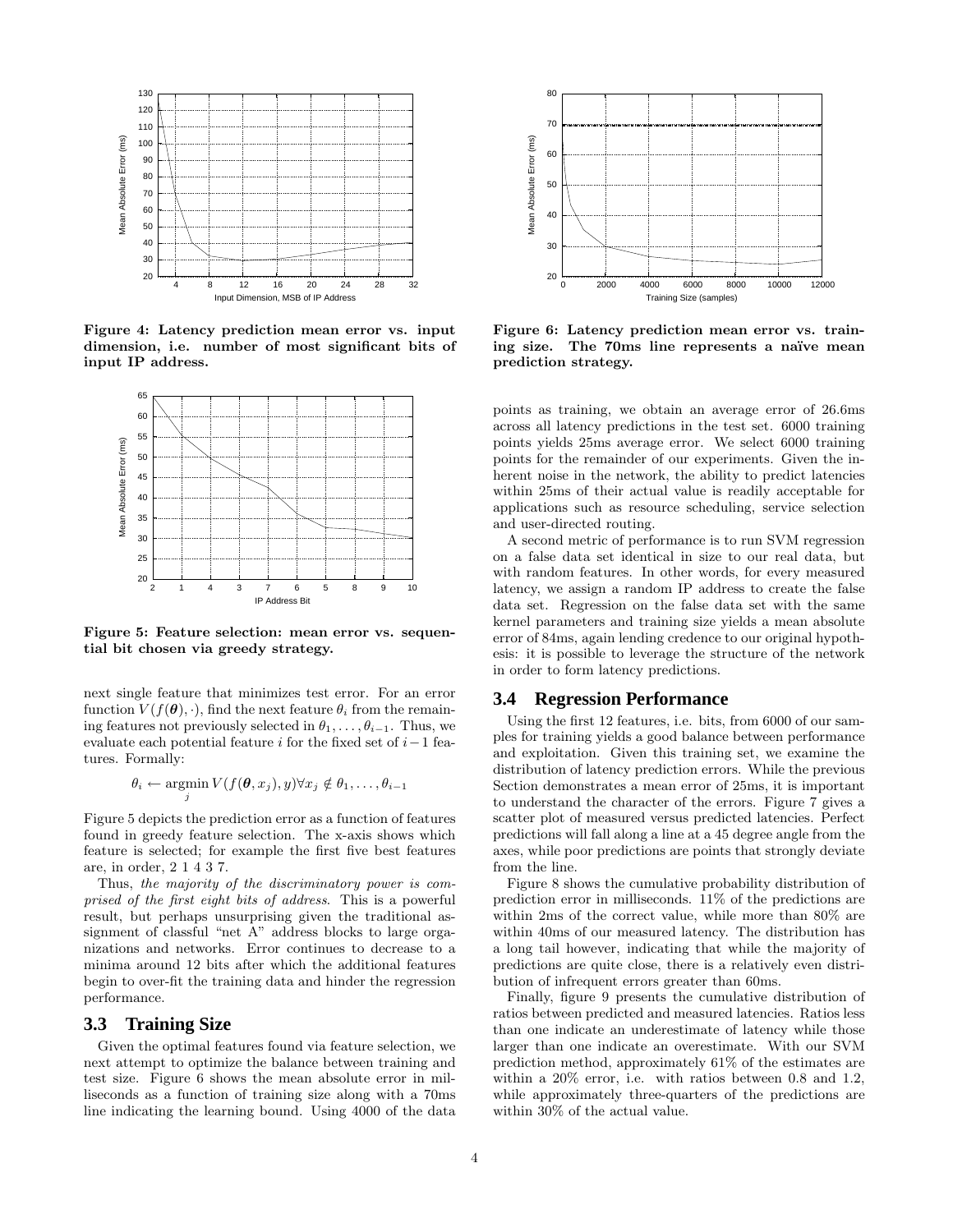

Figure 4: Latency prediction mean error vs. input dimension, i.e. number of most significant bits of input IP address.



Figure 5: Feature selection: mean error vs. sequential bit chosen via greedy strategy.

next single feature that minimizes test error. For an error function  $V(f(\theta),\cdot)$ , find the next feature  $\theta_i$  from the remaining features not previously selected in  $\theta_1, \ldots, \theta_{i-1}$ . Thus, we evaluate each potential feature i for the fixed set of  $i-1$  features. Formally:

$$
\theta_i \leftarrow \operatorname*{argmin}_{j} V(f(\boldsymbol{\theta}, x_j), y) \forall x_j \notin \theta_1, \dots, \theta_{i-1}
$$

Figure 5 depicts the prediction error as a function of features found in greedy feature selection. The x-axis shows which feature is selected; for example the first five best features are, in order, 2 1 4 3 7.

Thus, the majority of the discriminatory power is comprised of the first eight bits of address. This is a powerful result, but perhaps unsurprising given the traditional assignment of classful "net A" address blocks to large organizations and networks. Error continues to decrease to a minima around 12 bits after which the additional features begin to over-fit the training data and hinder the regression performance.

#### **3.3 Training Size**

Given the optimal features found via feature selection, we next attempt to optimize the balance between training and test size. Figure 6 shows the mean absolute error in milliseconds as a function of training size along with a 70ms line indicating the learning bound. Using 4000 of the data



Figure 6: Latency prediction mean error vs. training size. The 70ms line represents a naïve mean prediction strategy.

points as training, we obtain an average error of 26.6ms across all latency predictions in the test set. 6000 training points yields 25ms average error. We select 6000 training points for the remainder of our experiments. Given the inherent noise in the network, the ability to predict latencies within 25ms of their actual value is readily acceptable for applications such as resource scheduling, service selection and user-directed routing.

A second metric of performance is to run SVM regression on a false data set identical in size to our real data, but with random features. In other words, for every measured latency, we assign a random IP address to create the false data set. Regression on the false data set with the same kernel parameters and training size yields a mean absolute error of 84ms, again lending credence to our original hypothesis: it is possible to leverage the structure of the network in order to form latency predictions.

#### **3.4 Regression Performance**

Using the first 12 features, i.e. bits, from 6000 of our samples for training yields a good balance between performance and exploitation. Given this training set, we examine the distribution of latency prediction errors. While the previous Section demonstrates a mean error of 25ms, it is important to understand the character of the errors. Figure 7 gives a scatter plot of measured versus predicted latencies. Perfect predictions will fall along a line at a 45 degree angle from the axes, while poor predictions are points that strongly deviate from the line.

Figure 8 shows the cumulative probability distribution of prediction error in milliseconds. 11% of the predictions are within 2ms of the correct value, while more than 80% are within 40ms of our measured latency. The distribution has a long tail however, indicating that while the majority of predictions are quite close, there is a relatively even distribution of infrequent errors greater than 60ms.

Finally, figure 9 presents the cumulative distribution of ratios between predicted and measured latencies. Ratios less than one indicate an underestimate of latency while those larger than one indicate an overestimate. With our SVM prediction method, approximately 61% of the estimates are within a 20% error, i.e. with ratios between 0.8 and 1.2, while approximately three-quarters of the predictions are within 30% of the actual value.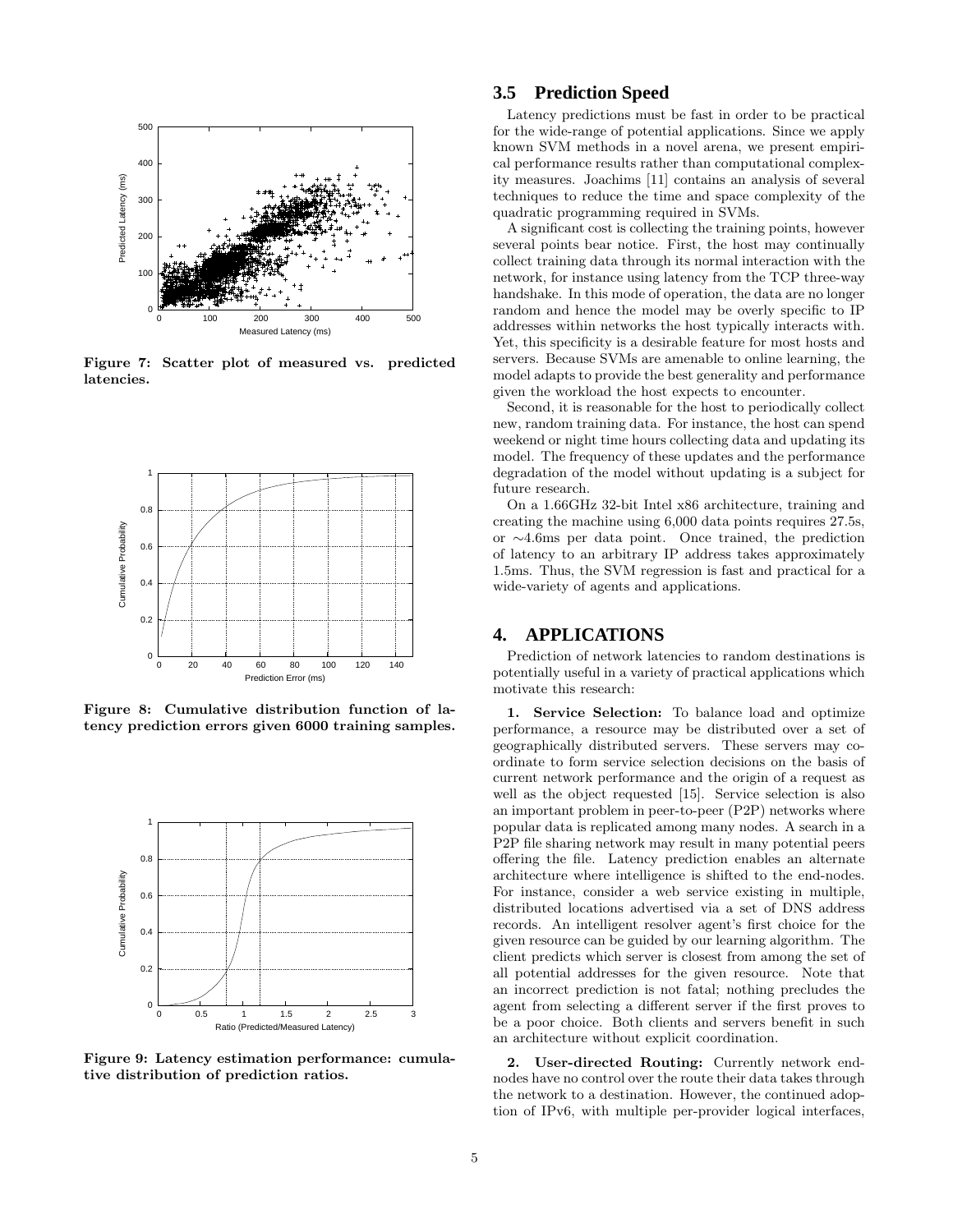

Figure 7: Scatter plot of measured vs. predicted latencies.



Figure 8: Cumulative distribution function of latency prediction errors given 6000 training samples.



Figure 9: Latency estimation performance: cumulative distribution of prediction ratios.

# **3.5 Prediction Speed**

Latency predictions must be fast in order to be practical for the wide-range of potential applications. Since we apply known SVM methods in a novel arena, we present empirical performance results rather than computational complexity measures. Joachims [11] contains an analysis of several techniques to reduce the time and space complexity of the quadratic programming required in SVMs.

A significant cost is collecting the training points, however several points bear notice. First, the host may continually collect training data through its normal interaction with the network, for instance using latency from the TCP three-way handshake. In this mode of operation, the data are no longer random and hence the model may be overly specific to IP addresses within networks the host typically interacts with. Yet, this specificity is a desirable feature for most hosts and servers. Because SVMs are amenable to online learning, the model adapts to provide the best generality and performance given the workload the host expects to encounter.

Second, it is reasonable for the host to periodically collect new, random training data. For instance, the host can spend weekend or night time hours collecting data and updating its model. The frequency of these updates and the performance degradation of the model without updating is a subject for future research.

On a 1.66GHz 32-bit Intel x86 architecture, training and creating the machine using 6,000 data points requires 27.5s, or ∼4.6ms per data point. Once trained, the prediction of latency to an arbitrary IP address takes approximately 1.5ms. Thus, the SVM regression is fast and practical for a wide-variety of agents and applications.

# **4. APPLICATIONS**

Prediction of network latencies to random destinations is potentially useful in a variety of practical applications which motivate this research:

1. Service Selection: To balance load and optimize performance, a resource may be distributed over a set of geographically distributed servers. These servers may coordinate to form service selection decisions on the basis of current network performance and the origin of a request as well as the object requested [15]. Service selection is also an important problem in peer-to-peer (P2P) networks where popular data is replicated among many nodes. A search in a P2P file sharing network may result in many potential peers offering the file. Latency prediction enables an alternate architecture where intelligence is shifted to the end-nodes. For instance, consider a web service existing in multiple, distributed locations advertised via a set of DNS address records. An intelligent resolver agent's first choice for the given resource can be guided by our learning algorithm. The client predicts which server is closest from among the set of all potential addresses for the given resource. Note that an incorrect prediction is not fatal; nothing precludes the agent from selecting a different server if the first proves to be a poor choice. Both clients and servers benefit in such an architecture without explicit coordination.

2. User-directed Routing: Currently network endnodes have no control over the route their data takes through the network to a destination. However, the continued adoption of IPv6, with multiple per-provider logical interfaces,